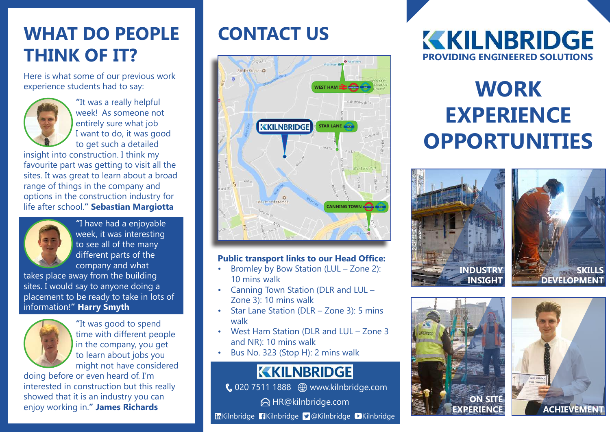# **WHAT DO PEOPLE THINK OF IT?**

Here is what some of our previous work experience students had to say:



 **"**It was a really helpful week! As someone not entirely sure what job I want to do, it was good to get such a detailed

insight into construction. I think my favourite part was getting to visit all the sites. It was great to learn about a broad range of things in the company and options in the construction industry for life after school.**" Sebastian Margiotta**



 **"**I have had a enjoyable week, it was interesting to see all of the many different parts of the company and what

takes place away from the building sites. I would say to anyone doing a placement to be ready to take in lots of information!**" Harry Smyth**



 **"**It was good to spend time with different people in the company, you get to learn about jobs you might not have considered

doing before or even heard of. I'm interested in construction but this really showed that it is an industry you can enjoy working in.**" James Richards**

# **CONTACT US**



#### **Public transport links to our Head Office:**

- Bromley by Bow Station (LUL Zone 2): 10 mins walk
- Canning Town Station (DLR and LUL Zone 3): 10 mins walk
- Star Lane Station (DLR Zone 3): 5 mins walk
- West Ham Station (DLR and LUL Zone 3 and NR): 10 mins walk
- Bus No. 323 (Stop H): 2 mins walk

#### **KKILNBRIDGE**

020 7511 1888 www.kilnbridge.com

**△ HR@kilnbridge.com** 

**In**Kilnbridge **Kilnbridge D** @Kilnbridge D Kilnbridge

### **KKILNBRIDGE PROVIDING ENGINEERED SOLUTIONS**

# **WORK EXPERIENCE OPPORTUNITIES**